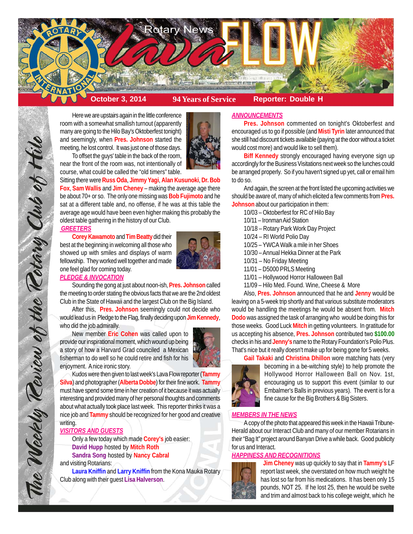

Here we are upstairs again in the little conference room with a somewhat smallish turnout (apparently many are going to the Hilo Bay's Oktoberfest tonight) and seemingly, when **Pres. Johnson** started the meeting, he lost control. It was just one of those days.



To offset the guys' table in the back of the room, near the front of the room was, not intentionally of course, what could be called the "old timers" table.

Sitting there were **Russ Oda**, **Jimmy Yagi**, **Alan Kusunoki**, **Dr. Bob Fox**, **Sam Wallis** and **Jim Cheney** – making the average age there be about 70+ or so. The only one missing was **Bob Fujimoto** and he sat at a different table and, no offense, if he was at this table the average age would have been even higher making this probably the oldest table gathering in the history of our Club.

## *GREETERS*

The Weekly Teview of the Tetary Club of Hilo

**Corey Kawamoto** and **Tim Beatty** did their best at the beginning in welcoming all those who showed up with smiles and displays of warm fellowship. They worked well together and made one feel glad for coming today.



## *PLEDGE & INVOCATION*

Sounding the gong at just about noon-ish, **Pres. Johnson** called the meeting to order stating the obvious facts that we are the 2nd oldest Club in the State of Hawaii and the largest Club on the Big Island.

After this, **Pres. Johnson** seemingly could not decide who would lead us in Pledge to the Flag, finally deciding upon **Jim Kennedy**, who did the job admirally.

New member **Eric Cohen** was called upon to provide our inspirational moment, which wound up being a story of how a Harvard Grad counciled a Mexican fisherman to do well so he could retire and fish for his enjoyment. A nice ironic story.



Kudos were then given to last week's Lava Flow reporter (**Tammy Silva**) and photographer (**Alberta Dobbe**) for their fine work. **Tammy** must have spend some time in her creation of it because it was actually interesting and provided many of her personal thoughts and comments about what actually took place last week. This reporter thinks it was a nice job and **Tammy** should be recognized for her good and creative writing.

## *VISITORS AND GUESTS*

Only a few today which made **Corey's** job easier: **David Hupp** hosted by **Mitch Roth Sandra Song** hosted by **Nancy Cabral** and visiting Rotarians:

**Laura Kniffin** and **Larry Kniffin** from the Kona Mauka Rotary Club along with their guest **Lisa Halverson**.

## *ANNOUNCEMENTS*

**Pres. Johnson** commented on tonight's Oktoberfest and encouraged us to go if possible (and **Misti Tyrin** later announced that she still had discount tickets available (paying at the door without a ticket would cost more) and would like to sell them).

**Biff Kennedy** strongly encouraged having everyone sign up accordingly for the Business Visitations next week so the lunches could be arranged properly. So if you haven't signed up yet, call or email him to do so.

And again, the screen at the front listed the upcoming activities we should be aware of, many of which elicited a few comments from **Pres. Johnson** about our participation in them:

10/03 – Oktoberfest for RC of Hilo Bay

- 10/11 Ironman Aid Station
- 10/18 Rotary Park Work Day Project
- 10/24 RI World Polio Day
- 10/25 YWCA Walk a mile in her Shoes
- 10/30 Annual Hekka Dinner at the Park
- 10/31 No Friday Meeting
- 11/01 D5000 PRLS Meeting
- 11/01 Hollywood Horror Halloween Ball
- 11/09 Hilo Med. Found. Wine, Cheese & More

Also, **Pres. Johnson** announced that he and **Jenny** would be leaving on a 5-week trip shortly and that various substitute moderators would be handling the meetings he would be absent from. **Mitch Dodo** was assigned the task of arranging who would be doing this for those weeks. Good Luck **Mitch** in getting volunteers. In gratitude for us accepting his absence, **Pres. Johnson** contributed two **\$100.00** checks in his and **Jenny's** name to the Rotary Foundation's Polio Plus. That's nice but it really doesn't make up for being gone for 5 weeks.



**Gail Takaki** and **Christina Dhillon** wore matching hats (very becoming in a be-witching style) to help promote the Hollywood Horror Halloween Ball on Nov. 1st, encouraging us to support this event (similar to our Embalmer's Balls in previous years). The event is for a fine cause for the Big Brothers & Big Sisters.

## *MEMBERS IN THE NEWS*

A copy of the photo that appeared this week in the Hawaii Tribune-Herald about our Interact Club and many of our member Rotarians in their "Bag It" project around Banyan Drive a while back. Good publicity for us and Interact.

## *HAPPINESS AND RECOGNITIONS*



 **Jim Cheney** was up quickly to say that in **Tammy's** LF report last week, she overstated on how much weight he has lost so far from his medications. It has been only 15 pounds, NOT 25. If he lost 25, then he would be svelte and trim and almost back to his college weight, which he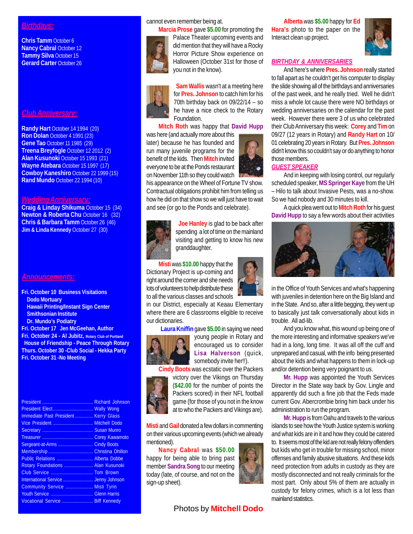# *Birthdays:*

**Chris Tamm** October 6 **Nancy Cabral October 12 Tammy Silva October 15 Gerard Carter** October 26

# *Club Anniversary:*

**Randy Hart** October 14 1994 (20) **Ron Dolan** October 4 1991 (23) **Gene Tao** October 11 1985 (29) **Treena Breyfogle** October 12 2012 (2) **Alan Kusunoki** October 15 1993 (21) **Wayne Atebara** October 15 1997 (17) **Cowboy Kaneshiro** October 22 1999 (15) **Rand Mundo** October 22 1994 (10)

#### *Wedding Anniversary:*

**Craig & Linday Shikuma** October 15 (34) **Newton & Roberta Chu** October 16 (32) **Chris & Barbara Tamm** October 26 (46) **Jim & Linda Kennedy** October 27 (30)

## *Announcements:*

**Fri. October 10 Business Visitations Dodo Mortuary Hawaii Printing/Instant Sign Center Smithsonian Institute Dr. Mundo's Podiatry**

**Fri. October 17 Jen McGeehan, Author**

**Fri. October 24 - Al Jubitz, Rotary Club of Portland House of Friendship - Peace Through Rotary Thurs. October 30 -Club Social - Hekka Party Fri. October 31 -No Meeting**

|                                      | <b>Richard Johnson</b> |
|--------------------------------------|------------------------|
|                                      |                        |
| Immediate Past President Kerry Glass |                        |
| Vice President  Mitchell Dodo        |                        |
|                                      |                        |
|                                      |                        |
| Sergeant-at-Arms                     | <b>Cindy Boots</b>     |
|                                      |                        |
| Public Relations  Alberta Dobbe      |                        |
| Rotary Foundations  Alan Kusunoki    |                        |
| Club Service  Tom Brown              |                        |
|                                      |                        |
| Community Service  Misti Tyrin       |                        |
|                                      |                        |
| Vocational Service  Biff Kennedy     |                        |

## cannot even remember being at.



**Marcia Prose** gave **\$5.00** for promoting the Palace Theater upcoming events and did mention that they will have a Rocky Horror Picture Show experience on Halloween (October 31st for those of you not in the know).

 **Sam Wallis** wasn't at a meeting here for **Pres. Johnson** to catch him for his 70th birthday back on 09/22/14 – so he have a nice check to the Rotary Foundation.

## **Mitch Roth** was happy that **David Hupp**

was here (and actually more about this later) because he has founded and run many juvenile programs for the benefit of the kids. Then **Mitch** invited everyone to be at the Ponds restaurant on November 11th so they could watch



his appearance on the Wheel of Fortune TV show. Contractual obligations prohibit him from telling us how he did on that show so we will just have to wait and see (or go to the Ponds and celebrate).



 **Joe Hanley** is glad to be back after spending a lot of time on the mainland visiting and getting to know his new granddaughter.

**Misti** was **\$10.00** happy that the Dictionary Project is up-coming and right around the corner and she needs lots of volunteers to help distribute these to all the various classes and schools

in our District, especially at Keaau Elementary where there are 6 classrooms eligible to receive our dictionaries.

 **Laura Kniffin** gave **\$5.00** in saying we need



young people in Rotary and encouraged us to consider **Lisa Halverson** (quick, somebody invite her!!).

**Cindy Boots** was ecstatic over the Packers

victory over the Vikings on Thursday (**\$42.00** for the number of points the Packers scored) in their NFL football game (for those of you not in the know at to who the Packers and Vikings are).

**Misti** and **Gail** donated a few dollars in commenting on their various upcoming events (which we already mentioned).

**Nancy Cabral** was **\$50.00** happy for being able to bring past member **Sandra Song** to our meeting today (late, of course, and not on the sign-up sheet).



**Alberta** was **\$5.00** happy for **Ed Hara's** photo to the paper on the Interact clean up project.



## *BIRTHDAY & ANNIVERSARIES*

And here's where **Pres. Johnson** really started to fall apart as he couldn't get his computer to display the slide showing all of the birthdays and anniversaries of the past week, and he really tried. Well he didn't miss a whole lot cause there were NO birthdays or wedding anniversaries on the calendar for the past week. However there were 3 of us who celebrated their Club Anniversary this week: **Corey** and **Tim** on 09/27 (12 years in Rotary) and **Randy Hart** on 10/ 01 celebrating 20 years in Rotary. But **Pres. Johnson** didn't know this so couldn't say or do anything to honor those members.

# *GUEST SPEAKER*

And in keeping with losing control, our regularly scheduled speaker, **MS Springer Kay**e from the UH – Hilo to talk about Invasive Pests, was a no-show. So we had nobody and 30 minutes to kill.

A quick plea went out to **Mitch Roth** for his guest **David Hupp** to say a few words about their activities



in the Office of Youth Services and what's happening with juveniles in detention here on the Big Island and in the State. And so, after a little begging, they went up to basically just talk conversationally about kids in trouble. All ad-lib.

And you know what, this wound up being one of the more interesting and informative speakers we've had in a long, long time. It was all off the cuff and unprepared and casual, with the info being presented about the kids and what happens to them in lock-up and/or detention being very poignant to us.

**Mr. Hupp** was appointed the Youth Services Director in the State way back by Gov. Lingle and apparently did such a fine job that the Feds made current Gov. Abercrombie bring him back under his administration to run the program.

**Mr. Hupp** is from Oahu and travels to the various islands to see how the Youth Justice system is working and what kids are in it and how they could be catered to. It seems most of the kid are not really felony offenders but kids who get in trouble for missing school, minor offenses and family abusive situations. And these kids need protection from adults in custody as they are mostly disconnected and not really criminals for the most part. Only about 5% of them are actually in custody for felony crimes, which is a lot less than mainland statistics.